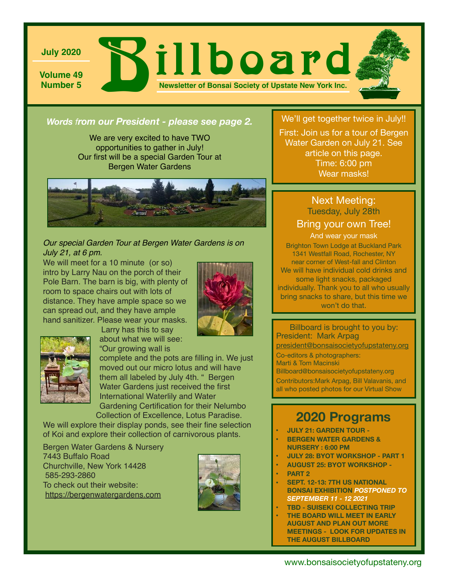

*Words from our President - please see page 2.* We'll get together twice in July!!

We are very excited to have TWO opportunities to gather in July! Our first will be a special Garden Tour at Bergen Water Gardens



#### *Our special Garden Tour at Bergen Water Gardens is on July 21, at 6 pm.*

We will meet for a 10 minute (or so) intro by Larry Nau on the porch of their Pole Barn. The barn is big, with plenty of room to space chairs out with lots of distance. They have ample space so we can spread out, and they have ample hand sanitizer. Please wear your masks.





 Larry has this to say about what we will see: "Our growing wall is

complete and the pots are filling in. We just

moved out our micro lotus and will have them all labeled by July 4th. " Bergen Water Gardens just received the first International Waterlily and Water Gardening Certification for their Nelumbo

Collection of Excellence, Lotus Paradise. We will explore their display ponds, see their fine selection

of Koi and explore their collection of carnivorous plants.

Bergen Water Gardens & Nursery 7443 Buffalo Road Churchville, New York 14428 585-293-2860 To check out their website: <https://bergenwatergardens.com>



First: Join us for a tour of Bergen Water Garden on July 21. See article on this page. Time: 6:00 pm Wear masks!

### Next Meeting: Tuesday, July 28th

#### Bring your own Tree!

And wear your mask Brighton Town Lodge at Buckland Park

1341 Westfall Road, Rochester, NY near corner of West-fall and Clinton We will have individual cold drinks and some light snacks, packaged individually. Thank you to all who usually bring snacks to share, but this time we won't do that.

Billboard is brought to you by: President: Mark Arpag [president@bonsaisocietyofupstateny.org](mailto:president@bonsaisocietyofupstateny.org)

Co-editors & photographers: Marti & Tom Macinski Billboard@bonsaisocietyofupstateny.org Contributors:Mark Arpag, Bill Valavanis, and all who posted photos for our Virtual Show

# **2020 Programs**

- **• JULY 21: GARDEN TOUR**
- **• BERGEN WATER GARDENS & NURSERY : 6:00 PM**
- **• JULY 28: BYOT WORKSHOP PART 1**
- **• AUGUST 25: BYOT WORKSHOP**
- **• PART 2**
- **• SEPT. 12-13: 7TH US NATIONAL BONSAI EXHIBITION** *POSTPONED TO SEPTEMBER 11 - 12 2021*
- **• TBD SUISEKI COLLECTING TRIP**
- **• THE BOARD WILL MEET IN EARLY AUGUST AND PLAN OUT MORE MEETINGS - LOOK FOR UPDATES IN THE AUGUST BILLBOARD**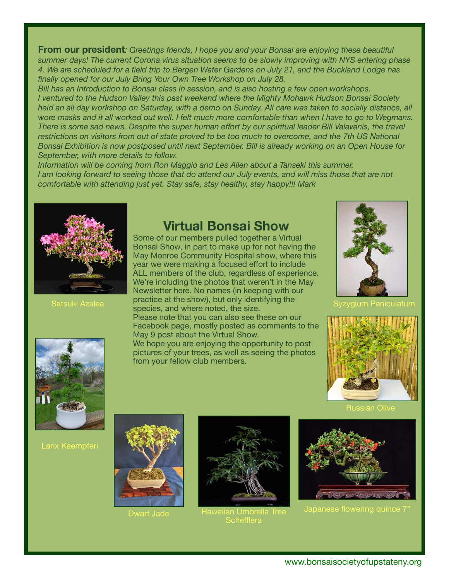**From our president***: Greetings friends, I hope you and your Bonsai are enjoying these beautiful summer days! The current Corona virus situation seems to be slowly improving with NYS entering phase 4. We are scheduled for a field trip to Bergen Water Gardens on July 21, and the Buckland Lodge has finally opened for our July Bring Your Own Tree Workshop on July 28.* 

*Bill has an Introduction to Bonsai class in session, and is also hosting a few open workshops. I ventured to the Hudson Valley this past weekend where the Mighty Mohawk Hudson Bonsai Society held an all day workshop on Saturday, with a demo on Sunday. All care was taken to socially distance, all wore masks and it all worked out well. I felt much more comfortable than when I have to go to Wegmans. There is some sad news. Despite the super human effort by our spiritual leader Bill Valavanis, the travel restrictions on visitors from out of state proved to be too much to overcome, and the 7th US National Bonsai Exhibition is now postposed until next September. Bill is already working on an Open House for September, with more details to follow.* 

*Information will be coming from Ron Maggio and Les Allen about a Tanseki this summer. I am looking forward to seeing those that do attend our July events, and will miss those that are not comfortable with attending just yet. Stay safe, stay healthy, stay happy!!! Mark* 



Satsuki Azalea

## **Virtual Bonsai Show**

Newsletter here. No names (in keeping with our Some of our members pulled together a Virtual Bonsai Show, in part to make up for not having the May Monroe Community Hospital show, where this year we were making a focused effort to include ALL members of the club, regardless of experience. We're including the photos that weren't in the May practice at the show), but only identifying the species, and where noted, the size. Please note that you can also see these on our Facebook page, mostly posted as comments to the May 9 post about the Virtual Show. We hope you are enjoying the opportunity to post pictures of your trees, as well as seeing the photos

from your fellow club members.

Syzygium Paniculatum



Russian Olive



Larix Kaempferi



Dwarf Jade



Hawaiian Umbrella Tree **Schefflera** 



**Japanese flowering quince 7**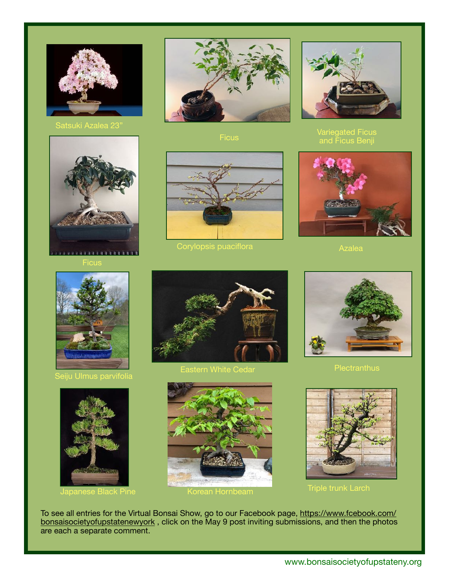





Seiju Ulmus parvifolia



Japanese Black Pine **Korean Hornbeam** 



**Ficus** 



Corylopsis puaciflora Azalea Azalea



Variegated Ficus and Ficus Benji





Eastern White Cedar







Triple trunk Larch

To see all entries for the Virtual Bonsai Show, go to our Facebook page, [https://www.fcebook.com/](https://www.fcebook.com/bonsaisocietyofupstatenewyork) [bonsaisocietyofupstatenewyork](https://www.fcebook.com/bonsaisocietyofupstatenewyork), click on the May 9 post inviting submissions, and then the photos are each a separate comment.